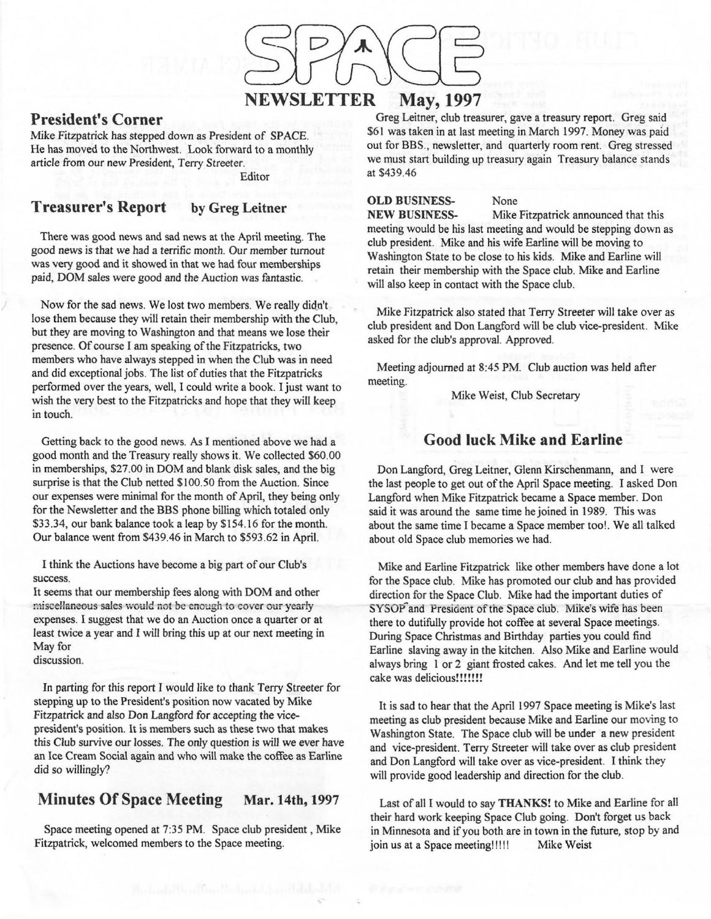

#### **President's Corner**

Mike Fitzpatrick has stepped down as President of SPACE. He has moved to the Northwest. Look forward to a monthly article from our new President, Terry Streeter.

Editor

#### **Treasurer's Report by Greg Leitner**

There was good news and sad news at the April meeting. The good news is that we had a terrific month. Our member turnout was very good and it showed in that we had four memberships paid, DOM sales were good and the Auction was fantastic.

Now for the sad news. We lost two members. We really didn't lose them because they will retain their membership with the Club, but they are moving to Washington and that means we lose their presence. Of course I am speaking of the Fitzpatricks, two members who have always stepped in when the Club was in need and did exceptional jobs. The list of duties that the Fitzpatricks performed over the years, well, I could write a book. I just want to wish the very best to the Fitzpatricks and hope that they will keep in touch.

Getting back to the good news. As I mentioned above we had a good month and the Treasury really shows it. We collected \$60.00 in memberships, \$27.00 in DOM and blank disk sales, and the big surprise is that the Club netted \$100.50 from the Auction. Since our expenses were minimal for the month of April, they being only for the Newsletter and the BBS phone billing which totaled only \$33.34, our bank balance took a leap by \$154.16 for the month. Our balance went from \$439.46 in March to \$593.62 in April.

I think the Auctions have become a big part of our Club's success.

It seems that our membership fees along with DOM and other miscellaneous sales would not be enough to cover our yearly expenses. I suggest that we do an Auction once a quarter or at least twice a year and I will bring this up at our next meeting in May for

discussion.

In parting for this report I would like to thank Terry Streeter for stepping up to the President's position now vacated by Mike Fitzpatrick and also Don Langford for accepting the vicepresident's position. It is members such as these two that makes this Club survive our losses. The only question is will we ever have an lee Cream Social again and who will make the coffee as Earline did so willingly?

#### **Minutes Of Space Meeting Mar. 14th,** 1997

Space meeting opened at 7:35 PM. Space club president , Mike Fitzpatrick, welcomed members to the Space meeting.

Greg Leitner, club treasurer, gave a treasury report. Greg said \$61 was taken in at last meeting in March 1997. Money was paid out for BBS., newsletter, and quarterly room rent. Greg stressed we must start building up treasury again Treasury balance stands at \$439.46

### **OLD BUSINESS-** None

**NEW BUSINESS-** Mike Fitzpatrick announced that this meeting would be his last meeting and would be stepping down as club president. Mike and his wife Earline will be moving to Washington State to be close to his kids. Mike and Earline will retain their membership with the Space club. Mike and Earline will also keep in contact with the Space club.

Mike Fitzpatrick also stated that Terry Streeter will take over as club president and Don Langford will be club vice-president. Mike asked for the club's approval. Approved.

Meeting adjourned at 8:45 PM. Club auction was held after meeting.

Mike Weist, Club Secretary

#### **Good luck Mike and Earline**

Don Langford, Greg Leitner, Glenn Kirschenmann, and I were the last people to get out of the April Space meeting. I asked Don Langford when Mike Fitzpatrick became a Space member. Don said it was around the same time he joined in 1989. This was about the same time I became a Space member too!. **We** all talked about old Space club memories we had.

Mike and Earline Fitzpatrick like other members have done a lot for the Space club. Mike has promoted our club and has provided direction for the Space Club. Mike had the important duties of SYSOP<sup>2</sup> and President of the Space club. Mike's wife has been there to dutifully provide hot coffee at several Space meetings. During Space Christmas and Birthday parties you could find Earline slaving away in the kitchen. Also Mike and Earline would always bring I or 2 giant frosted cakes. And let me tell you the cake was delicious!!!!!!!

It is sad to hear that the April 1997 Space meeting is Mike's last meeting as club president because Mike and Earline our moving to Washington State. The Space club will be under a new president and vice-president. Terry Streeter will take over as club president and Don Langford will take over as vice-president. I think they will provide good leadership and direction for the club.

Last of all I would to say **THANKS!** to Mike and Earline for all their hard work keeping Space Club going. Don't forget us back in Minnesota and if you both are in town in the future, stop by and join us at a Space meeting!!!!! Mike Weist